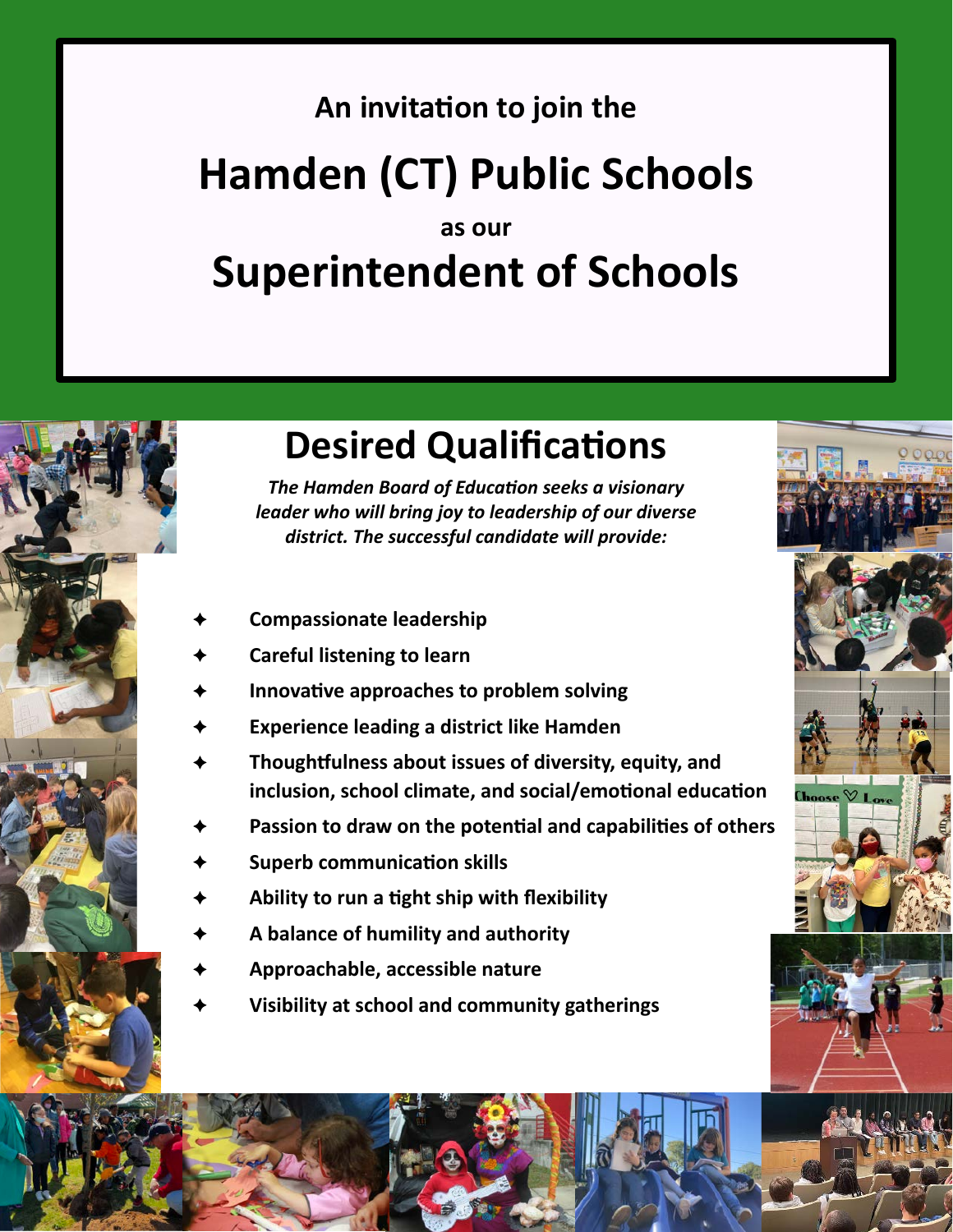### **An invitation to join the**

# **Hamden (CT) Public Schools**

### **as our Superintendent of Schools**



## **Desired Qualifications**

*The Hamden Board of Education seeks a visionary leader who will bring joy to leadership of our diverse district. The successful candidate will provide:*

- **Compassionate leadership**
- **Careful listening to learn**
- **Innovative approaches to problem solving**
- **Experience leading a district like Hamden**
- **Thoughtfulness about issues of diversity, equity, and inclusion, school climate, and social/emotional education**
- **Passion to draw on the potential and capabilities of others**
- **Superb communication skills**
- **Ability to run a tight ship with flexibility**
- **A balance of humility and authority**
- **Approachable, accessible nature**
- **Visibility at school and community gatherings**